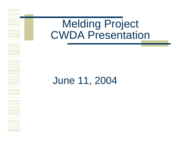# Melding Project CWDA Presentation

# June 11, 2004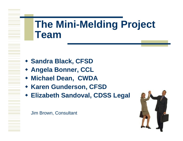# **The Mini-Melding Project Team**

- **Sandra Black, CFSD**
- **Angela Bonner, CCL**
- **Michael Dean, CWDA**
- **\* Karen Gunderson, CFSD**
- **Elizabeth Sandoval, CDSS Legal**

Jim Brown, Consultant

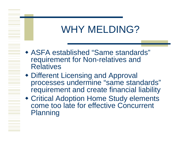# WHY MELDING?

- ASFA established "Same standards" requirement for Non-relatives and **Relatives**
- Different Licensing and Approval processes undermine "same standards" requirement and create financial liability
- Critical Adoption Home Study elements come too late for effective Concurrent **Planning**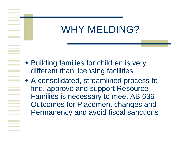# WHY MELDING?

- Building families for children is very different than licensing facilities
- A consolidated, streamlined process to find, approve and support Resource Families is necessary to meet AB 636 Outcomes for Placement changes and Permanency and avoid fiscal sanctions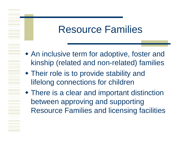# Resource Families

- An inclusive term for adoptive, foster and kinship (related and non-related) families
- Their role is to provide stability and lifelong connections for children
- There is a clear and important distinction between approving and supporting Resource Families and licensing facilities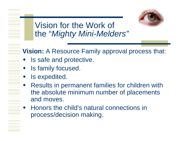

Vision for the Work of the "*Mighty Mini-Melders"*

**Vision:** A Resource Family approval process that:

- ♦ Is safe and protective.
- ♦ Is family focused.
- $\blacklozenge$ Is expedited.
- ♦ Results in permanent families for children with the absolute minimum number of placements and moves.
- ♦ Honors the child's natural connections in process/decision making.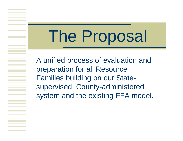# The Proposal

A unified process of evaluation and preparation for all Resource Families building on our Statesupervised, County-administered system and the existing FFA model.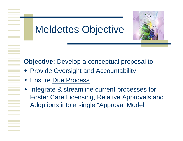# Meldettes Objective



**Objective:** Develop a conceptual proposal to:

- **Provide Oversight and Accountability**
- Ensure Due Process
- Integrate & streamline current processes for Foster Care Licensing, Relative Approvals and Adoptions into a single "Approval Model"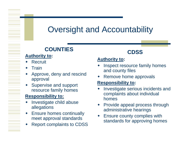### Oversight and Accountability

#### **COUNTIES**

#### **Authority to:**

- $\blacklozenge$ Recruit
- $\overline{\phantom{a}}$  Train
- ♦ Approve, deny and rescind approval
- ♦ Supervise and support resource family homes

#### **Responsibility to:**

- $\blacklozenge$  Investigate child abuse allegations
- $\blacklozenge$  Ensure homes continually meet approval standards
- $\blacklozenge$ Report complaints to CDSS

#### **CDSS**

#### **Authority to:**

- $\blacklozenge$  Inspect resource family homes and county files
- $\blacklozenge$ Remove home approvals

#### **Responsibility to:**

- $\blacklozenge$  Investigate serious incidents and complaints about individual homes
- ♦ Provide appeal process through administrative hearings
- ♦ Ensure county complies with standards for approving homes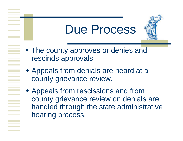# Due Process

- The county approves or denies and rescinds approvals.
- Appeals from denials are heard at a county grievance review.
- Appeals from rescissions and from county grievance review on denials are handled through the state administrative hearing process.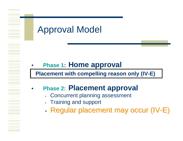### Approval Model

#### •**Phase 1: Home approval**

**Placement with compelling reason only (IV-E)**

#### •**Phase 2: Placement approval**

- Concurrent planning assessment
- •Training and support
- •• Regular placement may occur (IV-E)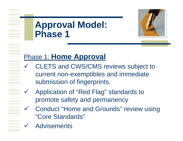### **Approval Model: Phase 1**



### Phase 1: **Home Approval**

- $\checkmark$  CLETS and CWS/CMS reviews subject to current non-exemptibles and immediate submission of fingerprints.
- $\checkmark$  Application of "Red Flag" standards to promote safety and permanency
- Gonduct "Home and Grounds" review using "Core Standards"
- $\checkmark$ **Advisements**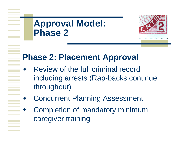# **Approval Model: Phase 2**

♦

 $\blacklozenge$ 

 $\blacklozenge$ 



### **Phase 2: Placement Approval**

- Review of the full criminal record including arrests (Rap-backs continue throughout)
- Concurrent Planning Assessment
- Completion of mandatory minimum caregiver training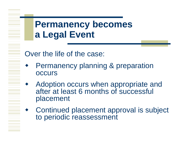### **Permanency becomes a Legal Event**

Over the life of the case:

- ♦ Permanency planning & preparation **OCCUIS**
- $\blacklozenge$  Adoption occurs when appropriate and after at least 6 months of successful placement
- ♦ Continued placement approval is subject to periodic reassessment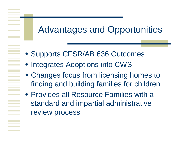# Advantages and Opportunities

- Supports CFSR/AB 636 Outcomes
- Integrates Adoptions into CWS
- Changes focus from licensing homes to finding and building families for children
- Provides all Resource Families with a standard and impartial administrative review process